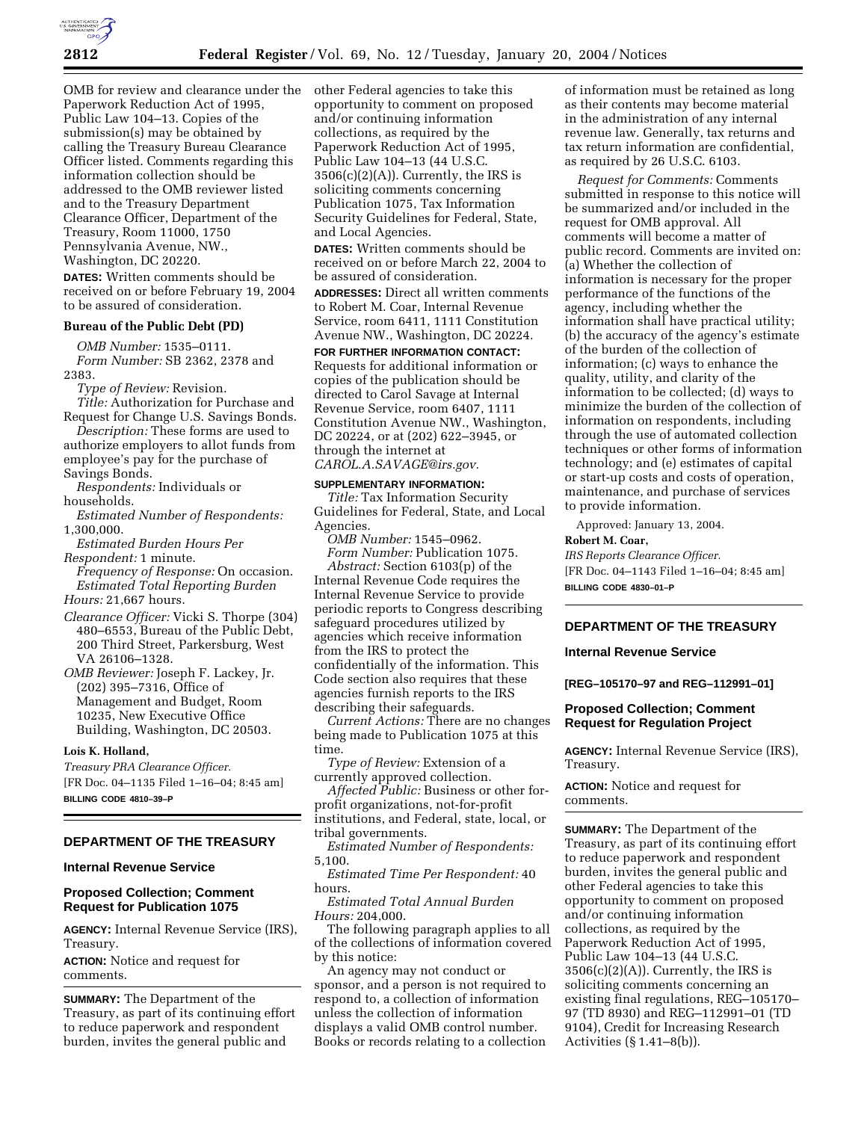

OMB for review and clearance under the Paperwork Reduction Act of 1995, Public Law 104–13. Copies of the submission(s) may be obtained by calling the Treasury Bureau Clearance Officer listed. Comments regarding this information collection should be addressed to the OMB reviewer listed and to the Treasury Department Clearance Officer, Department of the Treasury, Room 11000, 1750 Pennsylvania Avenue, NW., Washington, DC 20220.

**DATES:** Written comments should be received on or before February 19, 2004 to be assured of consideration.

### **Bureau of the Public Debt (PD)**

*OMB Number:* 1535–0111. *Form Number:* SB 2362, 2378 and 2383.

*Type of Review:* Revision.

*Title:* Authorization for Purchase and Request for Change U.S. Savings Bonds.

*Description:* These forms are used to authorize employers to allot funds from employee's pay for the purchase of Savings Bonds.

*Respondents:* Individuals or households.

*Estimated Number of Respondents:* 1,300,000.

*Estimated Burden Hours Per Respondent:* 1 minute.

*Frequency of Response:* On occasion. *Estimated Total Reporting Burden Hours:* 21,667 hours.

*Clearance Officer:* Vicki S. Thorpe (304) 480–6553, Bureau of the Public Debt, 200 Third Street, Parkersburg, West VA 26106–1328.

*OMB Reviewer:* Joseph F. Lackey, Jr. (202) 395–7316, Office of Management and Budget, Room 10235, New Executive Office Building, Washington, DC 20503.

#### **Lois K. Holland,**

*Treasury PRA Clearance Officer.* [FR Doc. 04–1135 Filed 1–16–04; 8:45 am] **BILLING CODE 4810–39–P**

# **DEPARTMENT OF THE TREASURY**

#### **Internal Revenue Service**

### **Proposed Collection; Comment Request for Publication 1075**

**AGENCY:** Internal Revenue Service (IRS), Treasury.

**ACTION:** Notice and request for comments.

**SUMMARY:** The Department of the Treasury, as part of its continuing effort to reduce paperwork and respondent burden, invites the general public and

other Federal agencies to take this opportunity to comment on proposed and/or continuing information collections, as required by the Paperwork Reduction Act of 1995, Public Law 104–13 (44 U.S.C.  $3506(c)(2)(A)$ . Currently, the IRS is soliciting comments concerning Publication 1075, Tax Information Security Guidelines for Federal, State, and Local Agencies.

**DATES:** Written comments should be received on or before March 22, 2004 to be assured of consideration.

**ADDRESSES:** Direct all written comments to Robert M. Coar, Internal Revenue Service, room 6411, 1111 Constitution Avenue NW., Washington, DC 20224.

**FOR FURTHER INFORMATION CONTACT:** Requests for additional information or copies of the publication should be directed to Carol Savage at Internal Revenue Service, room 6407, 1111 Constitution Avenue NW., Washington, DC 20224, or at (202) 622–3945, or through the internet at *CAROL.A.SAVAGE@irs.gov.*

**SUPPLEMENTARY INFORMATION:**  *Title:* Tax Information Security Guidelines for Federal, State, and Local Agencies.

*OMB Number:* 1545–0962. *Form Number:* Publication 1075.

*Abstract:* Section 6103(p) of the Internal Revenue Code requires the Internal Revenue Service to provide periodic reports to Congress describing safeguard procedures utilized by agencies which receive information from the IRS to protect the confidentially of the information. This Code section also requires that these agencies furnish reports to the IRS describing their safeguards.

*Current Actions:* There are no changes being made to Publication 1075 at this time.

*Type of Review:* Extension of a currently approved collection.

*Affected Public:* Business or other forprofit organizations, not-for-profit institutions, and Federal, state, local, or tribal governments.

*Estimated Number of Respondents:* 5,100.

*Estimated Time Per Respondent:* 40 hours.

*Estimated Total Annual Burden Hours:* 204,000.

The following paragraph applies to all of the collections of information covered by this notice:

An agency may not conduct or sponsor, and a person is not required to respond to, a collection of information unless the collection of information displays a valid OMB control number. Books or records relating to a collection

of information must be retained as long as their contents may become material in the administration of any internal revenue law. Generally, tax returns and tax return information are confidential, as required by 26 U.S.C. 6103.

*Request for Comments:* Comments submitted in response to this notice will be summarized and/or included in the request for OMB approval. All comments will become a matter of public record. Comments are invited on: (a) Whether the collection of information is necessary for the proper performance of the functions of the agency, including whether the information shall have practical utility; (b) the accuracy of the agency's estimate of the burden of the collection of information; (c) ways to enhance the quality, utility, and clarity of the information to be collected; (d) ways to minimize the burden of the collection of information on respondents, including through the use of automated collection techniques or other forms of information technology; and (e) estimates of capital or start-up costs and costs of operation, maintenance, and purchase of services to provide information.

Approved: January 13, 2004.

#### **Robert M. Coar,**

*IRS Reports Clearance Officer.* [FR Doc. 04–1143 Filed 1–16–04; 8:45 am] **BILLING CODE 4830–01–P**

## **DEPARTMENT OF THE TREASURY**

#### **Internal Revenue Service**

**[REG–105170–97 and REG–112991–01]** 

#### **Proposed Collection; Comment Request for Regulation Project**

**AGENCY:** Internal Revenue Service (IRS), Treasury.

**ACTION:** Notice and request for comments.

**SUMMARY:** The Department of the Treasury, as part of its continuing effort to reduce paperwork and respondent burden, invites the general public and other Federal agencies to take this opportunity to comment on proposed and/or continuing information collections, as required by the Paperwork Reduction Act of 1995, Public Law 104–13 (44 U.S.C.  $3506(c)(2)(A)$ . Currently, the IRS is soliciting comments concerning an existing final regulations, REG–105170– 97 (TD 8930) and REG–112991–01 (TD 9104), Credit for Increasing Research Activities (§ 1.41–8(b)).